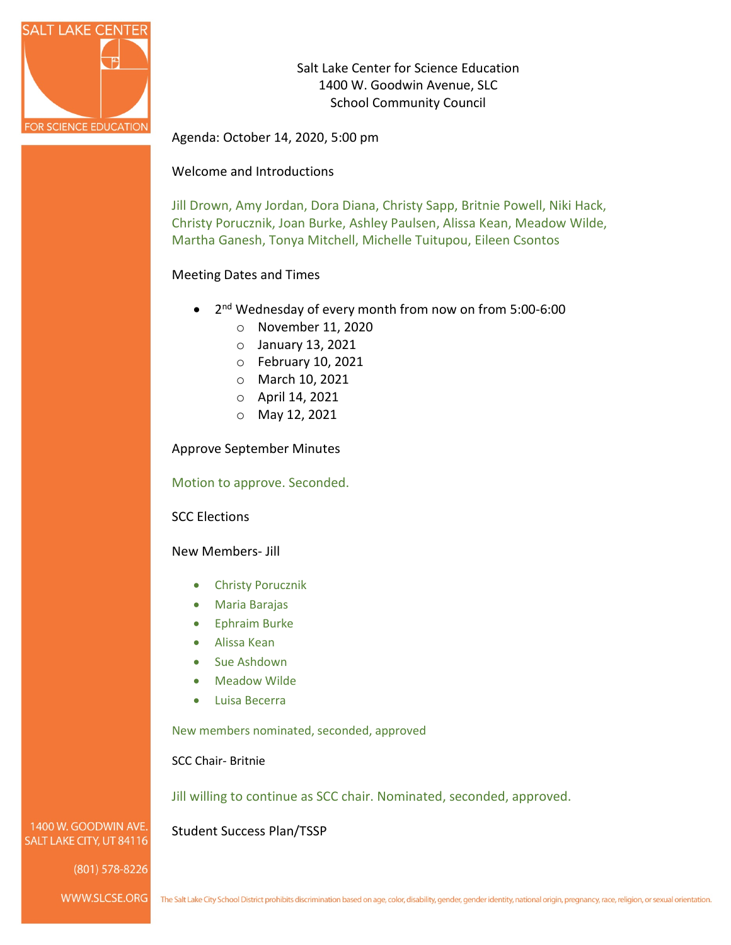

Salt Lake Center for Science Education 1400 W. Goodwin Avenue, SLC School Community Council

Agenda: October 14, 2020, 5:00 pm

## Welcome and Introductions

Jill Drown, Amy Jordan, Dora Diana, Christy Sapp, Britnie Powell, Niki Hack, Christy Porucznik, Joan Burke, Ashley Paulsen, Alissa Kean, Meadow Wilde, Martha Ganesh, Tonya Mitchell, Michelle Tuitupou, Eileen Csontos

## Meeting Dates and Times

- 2nd Wednesday of every month from now on from 5:00-6:00
	- o November 11, 2020
	- o January 13, 2021
	- o February 10, 2021
	- o March 10, 2021
	- o April 14, 2021
	- o May 12, 2021

Approve September Minutes

Motion to approve. Seconded.

SCC Elections

New Members- Jill

- Christy Porucznik
- Maria Barajas
- Ephraim Burke
- Alissa Kean
- Sue Ashdown
- Meadow Wilde
- Luisa Becerra

New members nominated, seconded, approved

SCC Chair- Britnie

Jill willing to continue as SCC chair. Nominated, seconded, approved.

Student Success Plan/TSSP

1400 W. GOODWIN AVE. SALT LAKE CITY, UT 84116

 $(801)$  578-8226

WWW.SLCSE.ORG

The Salt Lake City School District prohibits discrimination based on age, color, disability, gender, gender identity, national origin, pregnancy, race, religion, or sexual orientation.